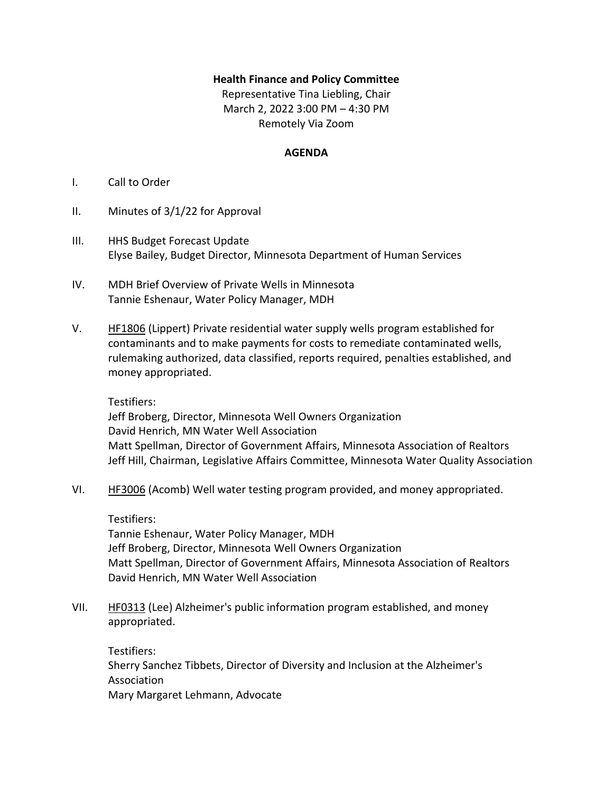## **Health Finance and Policy Committee**

Representative Tina Liebling, Chair March 2, 2022 3:00 PM – 4:30 PM Remotely Via Zoom

## **AGENDA**

- I. Call to Order
- II. Minutes of 3/1/22 for Approval
- III. HHS Budget Forecast Update Elyse Bailey, Budget Director, Minnesota Department of Human Services
- IV. MDH Brief Overview of Private Wells in Minnesota Tannie Eshenaur, Water Policy Manager, MDH
- V. [HF1806](https://www.house.leg.state.mn.us/bills/Information/BillNumber?FileNumber=hf1806) (Lippert) Private residential water supply wells program established for contaminants and to make payments for costs to remediate contaminated wells, rulemaking authorized, data classified, reports required, penalties established, and money appropriated.

Testifiers:

Jeff Broberg, Director, Minnesota Well Owners Organization David Henrich, MN Water Well Association Matt Spellman, Director of Government Affairs, Minnesota Association of Realtors Jeff Hill, Chairman, Legislative Affairs Committee, Minnesota Water Quality Association

VI. [HF3006](https://www.house.leg.state.mn.us/bills/Information/BillNumber?FileNumber=hf3006) (Acomb) Well water testing program provided, and money appropriated.

Testifiers:

Tannie Eshenaur, Water Policy Manager, MDH Jeff Broberg, Director, Minnesota Well Owners Organization Matt Spellman, Director of Government Affairs, Minnesota Association of Realtors David Henrich, MN Water Well Association

VII. [HF0313](https://www.revisor.mn.gov/bills/bill.php?b=House&f=HF0313&ssn=0&y=2021) (Lee) Alzheimer's public information program established, and money appropriated.

Testifiers: Sherry Sanchez Tibbets, Director of Diversity and Inclusion at the Alzheimer's Association Mary Margaret Lehmann, Advocate